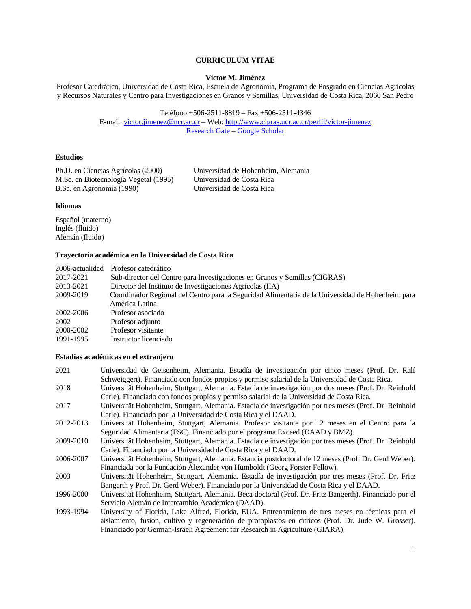# **CURRICULUM VITAE**

### **Víctor M. Jiménez**

Profesor Catedrático, Universidad de Costa Rica, Escuela de Agronomía, Programa de Posgrado en Ciencias Agrícolas y Recursos Naturales y Centro para Investigaciones en Granos y Semillas, Universidad de Costa Rica, 2060 San Pedro

> Teléfono +506-2511-8819 – Fax +506-2511-4346 E-mail: [victor.jimenez@ucr.ac.cr](mailto:victor.jimenez@ucr.ac.cr) – Web:<http://www.cigras.ucr.ac.cr/perfil/victor-jimenez> [Research Gate](https://www.researchgate.net/profile/Victor_Jimenez3) – [Google Scholar](https://scholar.google.com/citations?user=_P0h0B8AAAAJ&hl=en&oi=ao)

# **Estudios**

Ph.D. en Ciencias Agrícolas (2000) Universidad de Hohenheim, Alemania M.Sc. en Biotecnología Vegetal (1995) Universidad de Costa Rica B.Sc. en Agronomía (1990)

#### **Idiomas**

Español (materno) Inglés (fluido) Alemán (fluido)

# **Trayectoria académica en la Universidad de Costa Rica**

|           | 2006-actualidad Profesor catedrático                                                              |
|-----------|---------------------------------------------------------------------------------------------------|
| 2017-2021 | Sub-director del Centro para Investigaciones en Granos y Semillas (CIGRAS)                        |
| 2013-2021 | Director del Instituto de Investigaciones Agrícolas (IIA)                                         |
| 2009-2019 | Coordinador Regional del Centro para la Seguridad Alimentaria de la Universidad de Hohenheim para |
|           | América Latina                                                                                    |
| 2002-2006 | Profesor asociado                                                                                 |
| 2002      | Profesor adjunto                                                                                  |
| 2000-2002 | Profesor visitante                                                                                |
| 1991-1995 | Instructor licenciado                                                                             |

### **Estadías académicas en el extranjero**

| 2021      | Universidad de Geisenheim, Alemania. Estadía de investigación por cinco meses (Prof. Dr. Ralf           |
|-----------|---------------------------------------------------------------------------------------------------------|
|           | Schweiggert). Financiado con fondos propios y permiso salarial de la Universidad de Costa Rica.         |
| 2018      | Universität Hohenheim, Stuttgart, Alemania. Estadía de investigación por dos meses (Prof. Dr. Reinhold  |
|           | Carle). Financiado con fondos propios y permiso salarial de la Universidad de Costa Rica.               |
| 2017      | Universität Hohenheim, Stuttgart, Alemania. Estadía de investigación por tres meses (Prof. Dr. Reinhold |
|           | Carle). Financiado por la Universidad de Costa Rica y el DAAD.                                          |
| 2012-2013 | Universität Hohenheim, Stuttgart, Alemania. Profesor visitante por 12 meses en el Centro para la        |
|           | Seguridad Alimentaria (FSC). Financiado por el programa Exceed (DAAD y BMZ).                            |
| 2009-2010 | Universität Hohenheim, Stuttgart, Alemania. Estadía de investigación por tres meses (Prof. Dr. Reinhold |
|           | Carle). Financiado por la Universidad de Costa Rica y el DAAD.                                          |
| 2006-2007 | Universität Hohenheim, Stuttgart, Alemania. Estancia postdoctoral de 12 meses (Prof. Dr. Gerd Weber).   |
|           | Financiada por la Fundación Alexander von Humboldt (Georg Forster Fellow).                              |
| 2003      | Universität Hohenheim, Stuttgart, Alemania. Estadía de investigación por tres meses (Prof. Dr. Fritz    |
|           | Bangerth y Prof. Dr. Gerd Weber). Financiado por la Universidad de Costa Rica y el DAAD.                |
| 1996-2000 | Universität Hohenheim, Stuttgart, Alemania. Beca doctoral (Prof. Dr. Fritz Bangerth). Financiado por el |
|           | Servicio Alemán de Intercambio Académico (DAAD).                                                        |
| 1993-1994 | University of Florida, Lake Alfred, Florida, EUA. Entrenamiento de tres meses en técnicas para el       |
|           | aislamiento, fusion, cultivo y regeneración de protoplastos en cítricos (Prof. Dr. Jude W. Grosser).    |
|           | Financiado por German-Israeli Agreement for Research in Agriculture (GIARA).                            |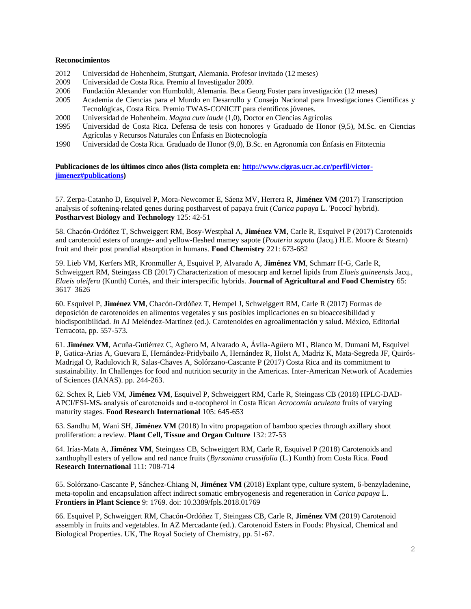### **Reconocimientos**

- 2012 Universidad de Hohenheim, Stuttgart, Alemania. Profesor invitado (12 meses)
- 2009 Universidad de Costa Rica. Premio al Investigador 2009.
- 2006 Fundación Alexander von Humboldt, Alemania. Beca Georg Foster para investigación (12 meses)
- 2005 Academia de Ciencias para el Mundo en Desarrollo y Consejo Nacional para Investigaciones Científicas y Tecnológicas, Costa Rica. Premio TWAS-CONICIT para científicos jóvenes.
- 2000 Universidad de Hohenheim. *Magna cum laude* (1,0), Doctor en Ciencias Agrícolas
- 1995 Universidad de Costa Rica. Defensa de tesis con honores y Graduado de Honor (9,5), M.Sc. en Ciencias Agrícolas y Recursos Naturales con Énfasis en Biotecnología
- 1990 Universidad de Costa Rica. Graduado de Honor (9,0), B.Sc. en Agronomía con Énfasis en Fitotecnia

**Publicaciones de los últimos cinco años (lista completa en: [http://www.cigras.ucr.ac.cr/perfil/victor](http://www.cigras.ucr.ac.cr/perfil/victor-jimenez#publications)[jimenez#publications\)](http://www.cigras.ucr.ac.cr/perfil/victor-jimenez#publications)**

57. Zerpa-Catanho D, Esquivel P, Mora-Newcomer E, Sáenz MV, Herrera R, **Jiménez VM** (2017) Transcription analysis of softening-related genes during postharvest of papaya fruit (*Carica papaya* L. 'Pococí' hybrid). **Postharvest Biology and Technology** 125: 42-51

58. Chacón-Ordóñez T, Schweiggert RM, Bosy-Westphal A, **Jiménez VM**, Carle R, Esquivel P (2017) Carotenoids and carotenoid esters of orange- and yellow-fleshed mamey sapote (*Pouteria sapota* (Jacq.) H.E. Moore & Stearn) fruit and their post prandial absorption in humans. **Food Chemistry** 221: 673-682

59. Lieb VM, Kerfers MR, Kronmüller A, Esquivel P, Alvarado A, **Jiménez VM**, Schmarr H-G, Carle R, Schweiggert RM, Steingass CB (2017) Characterization of mesocarp and kernel lipids from *Elaeis guineensis* Jacq., *Elaeis oleifera* (Kunth) Cortés, and their interspecific hybrids. **Journal of Agricultural and Food Chemistry** 65: 3617–3626

60. Esquivel P, **Jiménez VM**, Chacón-Ordóñez T, Hempel J, Schweiggert RM, Carle R (2017) Formas de deposición de carotenoides en alimentos vegetales y sus posibles implicaciones en su bioaccesibilidad y biodisponibilidad. *In* AJ Meléndez-Martínez (ed.). Carotenoides en agroalimentación y salud. México, Editorial Terracota, pp. 557-573.

61. **Jiménez VM**, Acuña-Gutiérrez C, Agüero M, Alvarado A, Ávila-Agüero ML, Blanco M, Dumani M, Esquivel P, Gatica-Arias A, Guevara E, Hernández-Pridybailo A, Hernández R, Holst A, Madriz K, Mata-Segreda JF, Quirós-Madrigal O, Radulovich R, Salas-Chaves A, Solórzano-Cascante P (2017) Costa Rica and its commitment to sustainability. In Challenges for food and nutrition security in the Americas. Inter-American Network of Academies of Sciences (IANAS). pp. 244-263.

62. Schex R, Lieb VM, **Jiménez VM**, Esquivel P, Schweiggert RM, Carle R, Steingass CB (2018) HPLC-DAD-APCI/ESI-MS*n* analysis of carotenoids and α-tocopherol in Costa Rican *Acrocomia aculeata* fruits of varying maturity stages. **Food Research International** 105: 645-653

63. Sandhu M, Wani SH, **Jiménez VM** (2018) In vitro propagation of bamboo species through axillary shoot proliferation: a review. **Plant Cell, Tissue and Organ Culture** 132: 27-53

64. Irías-Mata A, **Jiménez VM**, Steingass CB, Schweiggert RM, Carle R, Esquivel P (2018) Carotenoids and xanthophyll esters of yellow and red nance fruits (*Byrsonima crassifolia* (L.) Kunth) from Costa Rica. **Food Research International** 111: 708-714

65. Solórzano-Cascante P, Sánchez-Chiang N, **Jiménez VM** (2018) Explant type, culture system, 6-benzyladenine, meta-topolin and encapsulation affect indirect somatic embryogenesis and regeneration in *Carica papaya* L. **Frontiers in Plant Science** 9: 1769. doi: 10.3389/fpls.2018.01769

66. Esquivel P, Schweiggert RM, Chacón-Ordóñez T, Steingass CB, Carle R, **Jiménez VM** (2019) Carotenoid assembly in fruits and vegetables. In AZ Mercadante (ed.). Carotenoid Esters in Foods: Physical, Chemical and Biological Properties. UK, The Royal Society of Chemistry, pp. 51-67.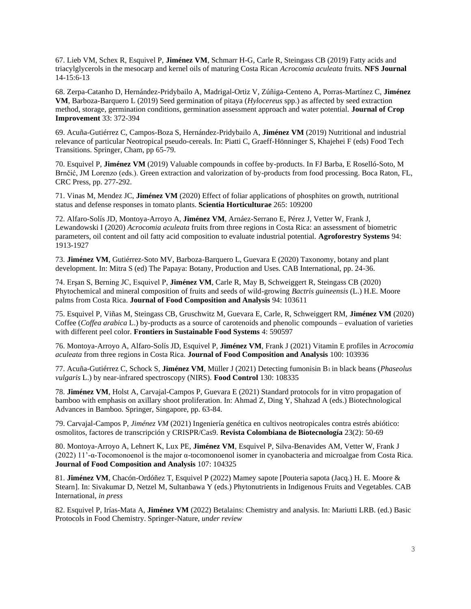67. Lieb VM, Schex R, Esquivel P, **Jiménez VM**, Schmarr H-G, Carle R, Steingass CB (2019) Fatty acids and triacylglycerols in the mesocarp and kernel oils of maturing Costa Rican *Acrocomia aculeata* fruits. **NFS Journal**  14-15:6-13

68. Zerpa-Catanho D, Hernández-Pridybailo A, Madrigal-Ortiz V, Zúñiga-Centeno A, Porras-Martínez C, **Jiménez VM**, Barboza-Barquero L (2019) Seed germination of pitaya (*Hylocereus* spp.) as affected by seed extraction method, storage, germination conditions, germination assessment approach and water potential. **Journal of Crop Improvement** 33: 372-394

69. Acuña-Gutiérrez C, Campos-Boza S, Hernández-Pridybailo A, **Jiménez VM** (2019) Nutritional and industrial relevance of particular Neotropical pseudo-cereals. In: Piatti C, Graeff-Hönninger S, Khajehei F (eds) Food Tech Transitions. Springer, Cham, pp 65-79.

70. Esquivel P, **Jiménez VM** (2019) Valuable compounds in coffee by-products. In FJ Barba, E Roselló-Soto, M Brnčić, JM Lorenzo (eds.). Green extraction and valorization of by-products from food processing. Boca Raton, FL, CRC Press, pp. 277-292.

71. Vinas M, Mendez JC, **Jiménez VM** (2020) Effect of foliar applications of phosphites on growth, nutritional status and defense responses in tomato plants. **Scientia Horticulturae** 265: 109200

72. Alfaro-Solís JD, Montoya-Arroyo A, **Jiménez VM**, Arnáez-Serrano E, Pérez J, Vetter W, Frank J, Lewandowski I (2020) *Acrocomia aculeata* fruits from three regions in Costa Rica: an assessment of biometric parameters, oil content and oil fatty acid composition to evaluate industrial potential. **Agroforestry Systems** 94: 1913-1927

73. **Jiménez VM**, Gutiérrez-Soto MV, Barboza-Barquero L, Guevara E (2020) Taxonomy, botany and plant development. In: Mitra S (ed) The Papaya: Botany, Production and Uses. CAB International, pp. 24-36.

74. Erşan S, Berning JC, Esquivel P, **Jiménez VM**, Carle R, May B, Schweiggert R, Steingass CB (2020) Phytochemical and mineral composition of fruits and seeds of wild-growing *Bactris guineensis* (L.) H.E. Moore palms from Costa Rica. **Journal of Food Composition and Analysis** 94: 103611

75. Esquivel P, Viñas M, Steingass CB, Gruschwitz M, Guevara E, Carle, R, Schweiggert RM, **Jiménez VM** (2020) Coffee (*Coffea arabica* L.) by-products as a source of carotenoids and phenolic compounds – evaluation of varieties with different peel color. **Frontiers in Sustainable Food Systems** 4: 590597

76. Montoya-Arroyo A, Alfaro-Solís JD, Esquivel P, **Jiménez VM**, Frank J (2021) Vitamin E profiles in *Acrocomia aculeata* from three regions in Costa Rica. **Journal of Food Composition and Analysis** 100: 103936

77. Acuña-Gutiérrez C, Schock S, **Jiménez VM**, Müller J (2021) Detecting fumonisin B1 in black beans (*Phaseolus vulgaris* L.) by near-infrared spectroscopy (NIRS). **Food Control** 130: 108335

78. **Jiménez VM**, Holst A, Carvajal-Campos P, Guevara E (2021) Standard protocols for in vitro propagation of bamboo with emphasis on axillary shoot proliferation. In: Ahmad Z, Ding Y, Shahzad A (eds.) Biotechnological Advances in Bamboo. Springer, Singapore, pp. 63-84.

79. Carvajal-Campos P, *Jiménez VM* (2021) Ingeniería genética en cultivos neotropicales contra estrés abiótico: osmolitos, factores de transcripción y CRISPR/Cas9. **Revista Colombiana de Biotecnología** 23(2): 50-69

80. Montoya-Arroyo A, Lehnert K, Lux PE, **Jiménez VM**, Esquivel P, Silva-Benavides AM, Vetter W, Frank J (2022) 11'-α-Tocomonoenol is the major α-tocomonoenol isomer in cyanobacteria and microalgae from Costa Rica. **Journal of Food Composition and Analysis** 107: 104325

81. **Jiménez VM**, Chacón-Ordóñez T, Esquivel P (2022) Mamey sapote [Pouteria sapota (Jacq.) H. E. Moore & Stearn]. In: Sivakumar D, Netzel M, Sultanbawa Y (eds.) Phytonutrients in Indigenous Fruits and Vegetables. CAB International, *in press*

82. Esquivel P, Irías-Mata A, **Jiménez VM** (2022) Betalains: Chemistry and analysis. In: Mariutti LRB. (ed.) Basic Protocols in Food Chemistry. Springer-Nature, *under review*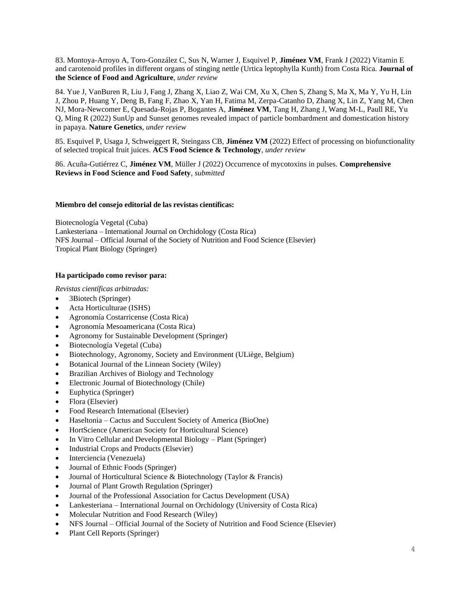83. Montoya-Arroyo A, Toro-González C, Sus N, Warner J, Esquivel P, **Jiménez VM**, Frank J (2022) Vitamin E and carotenoid profiles in different organs of stinging nettle (Urtica leptophylla Kunth) from Costa Rica. **Journal of the Science of Food and Agriculture**, *under review*

84. Yue J, VanBuren R, Liu J, Fang J, Zhang X, Liao Z, Wai CM, Xu X, Chen S, Zhang S, Ma X, Ma Y, Yu H, Lin J, Zhou P, Huang Y, Deng B, Fang F, Zhao X, Yan H, Fatima M, Zerpa-Catanho D, Zhang X, Lin Z, Yang M, Chen NJ, Mora-Newcomer E, Quesada-Rojas P, Bogantes A, **Jiménez VM**, Tang H, Zhang J, Wang M-L, Paull RE, Yu Q, Ming R (2022) SunUp and Sunset genomes revealed impact of particle bombardment and domestication history in papaya. **Nature Genetics**, *under review*

85. Esquivel P, Usaga J, Schweiggert R, Steingass CB, **Jiménez VM** (2022) Effect of processing on biofunctionality of selected tropical fruit juices. **ACS Food Science & Technology**, *under review*

86. Acuña-Gutiérrez C, **Jiménez VM**, Müller J (2022) Occurrence of mycotoxins in pulses. **Comprehensive Reviews in Food Science and Food Safety**, *submitted*

#### **Miembro del consejo editorial de las revistas científicas:**

Biotecnología Vegetal (Cuba) Lankesteriana – International Journal on Orchidology (Costa Rica) NFS Journal – Official Journal of the Society of Nutrition and Food Science (Elsevier) Tropical Plant Biology (Springer)

#### **Ha participado como revisor para:**

*Revistas científicas arbitradas:*

- 3Biotech (Springer)
- Acta Horticulturae (ISHS)
- Agronomía Costarricense (Costa Rica)
- Agronomía Mesoamericana (Costa Rica)
- Agronomy for Sustainable Development (Springer)
- Biotecnología Vegetal (Cuba)
- Biotechnology, Agronomy, Society and Environment (ULiège, Belgium)
- Botanical Journal of the Linnean Society (Wiley)
- Brazilian Archives of Biology and Technology
- Electronic Journal of Biotechnology (Chile)
- Euphytica (Springer)
- Flora (Elsevier)
- Food Research International (Elsevier)
- Haseltonia Cactus and Succulent Society of America (BioOne)
- HortScience (American Society for Horticultural Science)
- In Vitro Cellular and Developmental Biology Plant (Springer)
- Industrial Crops and Products (Elsevier)
- Interciencia (Venezuela)
- Journal of Ethnic Foods (Springer)
- Journal of Horticultural Science & Biotechnology (Taylor & Francis)
- Journal of Plant Growth Regulation (Springer)
- Journal of the Professional Association for Cactus Development (USA)
- Lankesteriana International Journal on Orchidology (University of Costa Rica)
- Molecular Nutrition and Food Research (Wiley)
- NFS Journal Official Journal of the Society of Nutrition and Food Science (Elsevier)
- Plant Cell Reports (Springer)